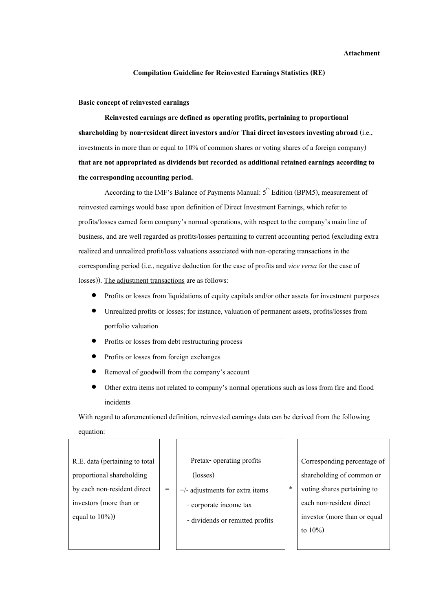## **Attachment**

## **Compilation Guideline for Reinvested Earnings Statistics (RE)**

## **Basic concept of reinvested earnings**

**Reinvested earnings are defined as operating profits, pertaining to proportional shareholding by non-resident direct investors and/or Thai direct investors investing abroad** (i.e., investments in more than or equal to 10% of common shares or voting shares of a foreign company) **that are not appropriated as dividends but recorded as additional retained earnings according to the corresponding accounting period.** 

According to the IMF's Balance of Payments Manual:  $5<sup>th</sup>$  Edition (BPM5), measurement of reinvested earnings would base upon definition of Direct Investment Earnings, which refer to profits/losses earned form company's normal operations, with respect to the company's main line of business, and are well regarded as profits/losses pertaining to current accounting period (excluding extra realized and unrealized profit/loss valuations associated with non-operating transactions in the corresponding period (i.e., negative deduction for the case of profits and *vice versa* for the case of losses)). The adjustment transactions are as follows:

- Profits or losses from liquidations of equity capitals and/or other assets for investment purposes
- Unrealized profits or losses; for instance, valuation of permanent assets, profits/losses from portfolio valuation
- Profits or losses from debt restructuring process
- Profits or losses from foreign exchanges
- Removal of goodwill from the company's account

=

• Other extra items not related to company's normal operations such as loss from fire and flood incidents

With regard to aforementioned definition, reinvested earnings data can be derived from the following equation:

| R.E. data (pertaining to total |
|--------------------------------|
| proportional shareholding      |
| by each non-resident direct    |
| investors (more than or        |
| equal to $10\%)$               |

 Pretax- operating profits (losses) +/- adjustments for extra items

- corporate income tax
- dividends or remitted profits

Corresponding percentage of shareholding of common or

voting shares pertaining to each non-resident direct investor (more than or equal to 10%)

\*